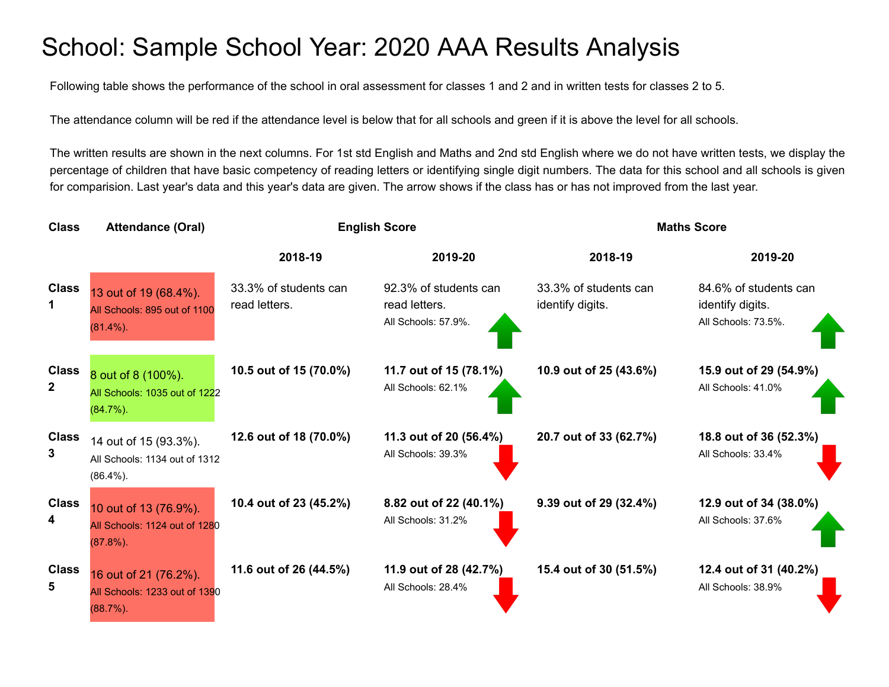## School: Sample School Year: 2020 AAA Results Analysis

Following table shows the performance of the school in oral assessment for classes 1 and 2 and in written tests for classes 2 to 5.

The attendance column will be red if the attendance level is below that for all schools and green if it is above the level for all schools.

The written results are shown in the next columns. For 1st std English and Maths and 2nd std English where we do not have written tests, we display the percentage of children that have basic competency of reading letters or identifying single digit numbers. The data for this school and all schools is given for comparision. Last year's data and this year's data are given. The arrow shows if the class has or has not improved from the last year.

| <b>Class</b>                 | <b>Attendance (Oral)</b>                                               | <b>English Score</b>                   |                                                               | <b>Maths Score</b>                        |                                                                  |
|------------------------------|------------------------------------------------------------------------|----------------------------------------|---------------------------------------------------------------|-------------------------------------------|------------------------------------------------------------------|
|                              |                                                                        | 2018-19                                | 2019-20                                                       | 2018-19                                   | 2019-20                                                          |
| <b>Class</b>                 | 13 out of 19 (68.4%).<br>All Schools: 895 out of 1100<br>$(81.4\%)$ .  | 33.3% of students can<br>read letters. | 92.3% of students can<br>read letters.<br>All Schools: 57.9%. | 33.3% of students can<br>identify digits. | 84.6% of students can<br>identify digits.<br>All Schools: 73.5%. |
| <b>Class</b><br>$\mathbf{2}$ | 8 out of 8 (100%).<br>All Schools: 1035 out of 1222<br>$(84.7\%)$ .    | 10.5 out of 15 (70.0%)                 | 11.7 out of 15 (78.1%)<br>All Schools: 62.1%                  | 10.9 out of 25 (43.6%)                    | 15.9 out of 29 (54.9%)<br>All Schools: 41.0%                     |
| <b>Class</b><br>3            | 14 out of 15 (93.3%).<br>All Schools: 1134 out of 1312<br>$(86.4\%)$ . | 12.6 out of 18 (70.0%)                 | 11.3 out of 20 (56.4%)<br>All Schools: 39.3%                  | 20.7 out of 33 (62.7%)                    | 18.8 out of 36 (52.3%)<br>All Schools: 33.4%                     |
| <b>Class</b><br>4            | 10 out of 13 (76.9%).<br>All Schools: 1124 out of 1280<br>$(87.8\%)$ . | 10.4 out of 23 (45.2%)                 | 8.82 out of 22 (40.1%)<br>All Schools: 31.2%                  | 9.39 out of 29 (32.4%)                    | 12.9 out of 34 (38.0%)<br>All Schools: 37.6%                     |
| <b>Class</b><br>5            | 16 out of 21 (76.2%).<br>All Schools: 1233 out of 1390<br>$(88.7\%)$ . | 11.6 out of 26 (44.5%)                 | 11.9 out of 28 (42.7%)<br>All Schools: 28.4%                  | 15.4 out of 30 (51.5%)                    | 12.4 out of 31 (40.2%)<br>All Schools: 38.9%                     |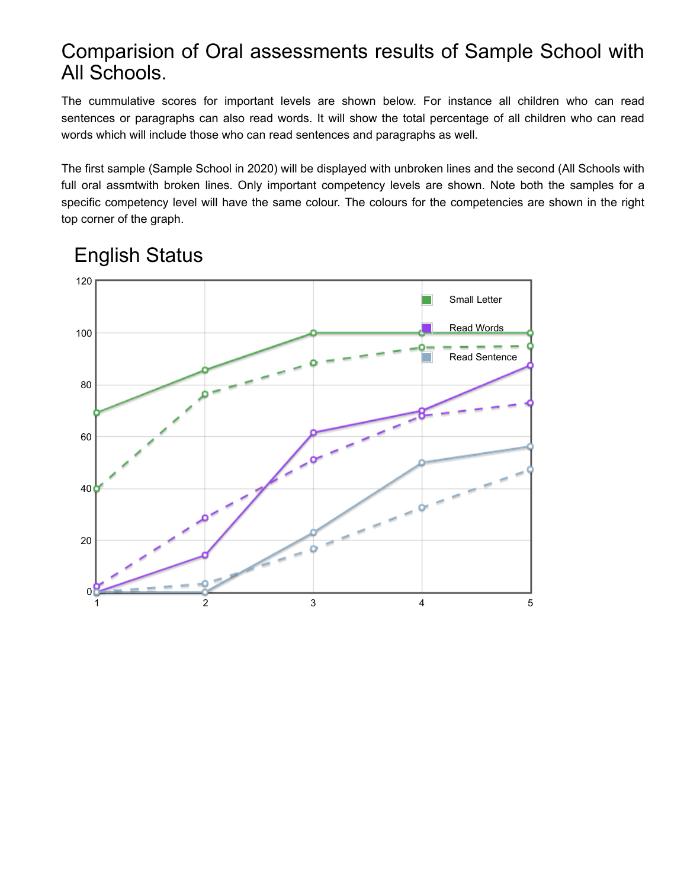## Comparision of Oral assessments results of Sample School with All Schools.

The cummulative scores for important levels are shown below. For instance all children who can read sentences or paragraphs can also read words. It will show the total percentage of all children who can read words which will include those who can read sentences and paragraphs as well.

The first sample (Sample School in 2020) will be displayed with unbroken lines and the second (All Schools with full oral assmtwith broken lines. Only important competency levels are shown. Note both the samples for a specific competency level will have the same colour. The colours for the competencies are shown in the right top corner of the graph.



## English Status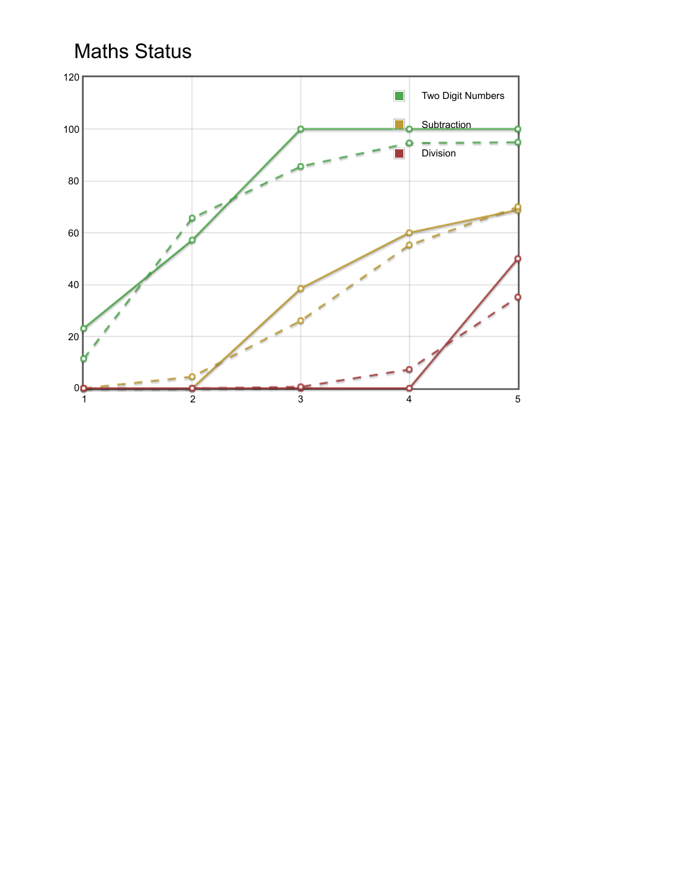